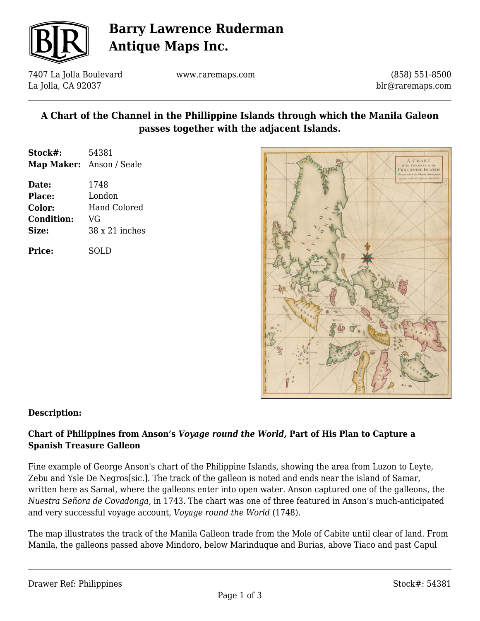

# **Barry Lawrence Ruderman Antique Maps Inc.**

7407 La Jolla Boulevard La Jolla, CA 92037

www.raremaps.com

(858) 551-8500 blr@raremaps.com

# **A Chart of the Channel in the Phillippine Islands through which the Manila Galeon passes together with the adjacent Islands.**

| Stock#: | 54381                           |
|---------|---------------------------------|
|         | <b>Map Maker:</b> Anson / Seale |
| Date:   | 1748                            |

| <b>Place:</b>     | London                |
|-------------------|-----------------------|
| Color:            | Hand Colored          |
| <b>Condition:</b> | VG                    |
| Size:             | $38 \times 21$ inches |
|                   |                       |

**Price:** SOLD



## **Description:**

## **Chart of Philippines from Anson's** *Voyage round the World,* **Part of His Plan to Capture a Spanish Treasure Galleon**

Fine example of George Anson's chart of the Philippine Islands, showing the area from Luzon to Leyte, Zebu and Ysle De Negros[sic.]. The track of the galleon is noted and ends near the island of Samar, written here as Samal, where the galleons enter into open water. Anson captured one of the galleons, the *Nuestra Señora de Covadonga,* in 1743. The chart was one of three featured in Anson's much-anticipated and very successful voyage account, *Voyage round the World* (1748).

The map illustrates the track of the Manila Galleon trade from the Mole of Cabite until clear of land. From Manila, the galleons passed above Mindoro, below Marinduque and Burias, above Tiaco and past Capul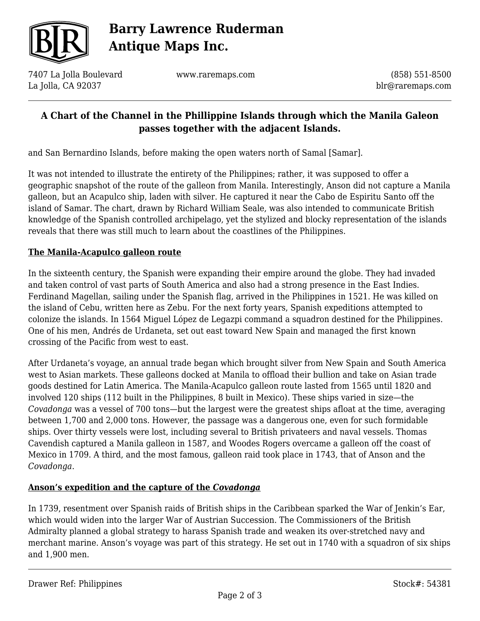

# **Barry Lawrence Ruderman Antique Maps Inc.**

7407 La Jolla Boulevard La Jolla, CA 92037

www.raremaps.com

(858) 551-8500 blr@raremaps.com

# **A Chart of the Channel in the Phillippine Islands through which the Manila Galeon passes together with the adjacent Islands.**

and San Bernardino Islands, before making the open waters north of Samal [Samar].

It was not intended to illustrate the entirety of the Philippines; rather, it was supposed to offer a geographic snapshot of the route of the galleon from Manila. Interestingly, Anson did not capture a Manila galleon, but an Acapulco ship, laden with silver. He captured it near the Cabo de Espiritu Santo off the island of Samar. The chart, drawn by Richard William Seale, was also intended to communicate British knowledge of the Spanish controlled archipelago, yet the stylized and blocky representation of the islands reveals that there was still much to learn about the coastlines of the Philippines.

#### **The Manila-Acapulco galleon route**

In the sixteenth century, the Spanish were expanding their empire around the globe. They had invaded and taken control of vast parts of South America and also had a strong presence in the East Indies. Ferdinand Magellan, sailing under the Spanish flag, arrived in the Philippines in 1521. He was killed on the island of Cebu, written here as Zebu. For the next forty years, Spanish expeditions attempted to colonize the islands. In 1564 Miguel López de Legazpi command a squadron destined for the Philippines. One of his men, Andrés de Urdaneta, set out east toward New Spain and managed the first known crossing of the Pacific from west to east.

After Urdaneta's voyage, an annual trade began which brought silver from New Spain and South America west to Asian markets. These galleons docked at Manila to offload their bullion and take on Asian trade goods destined for Latin America. The Manila-Acapulco galleon route lasted from 1565 until 1820 and involved 120 ships (112 built in the Philippines, 8 built in Mexico). These ships varied in size—the *Covadonga* was a vessel of 700 tons—but the largest were the greatest ships afloat at the time, averaging between 1,700 and 2,000 tons. However, the passage was a dangerous one, even for such formidable ships. Over thirty vessels were lost, including several to British privateers and naval vessels. Thomas Cavendish captured a Manila galleon in 1587, and Woodes Rogers overcame a galleon off the coast of Mexico in 1709. A third, and the most famous, galleon raid took place in 1743, that of Anson and the *Covadonga*.

## **Anson's expedition and the capture of the** *Covadonga*

In 1739, resentment over Spanish raids of British ships in the Caribbean sparked the War of Jenkin's Ear, which would widen into the larger War of Austrian Succession. The Commissioners of the British Admiralty planned a global strategy to harass Spanish trade and weaken its over-stretched navy and merchant marine. Anson's voyage was part of this strategy. He set out in 1740 with a squadron of six ships and 1,900 men.